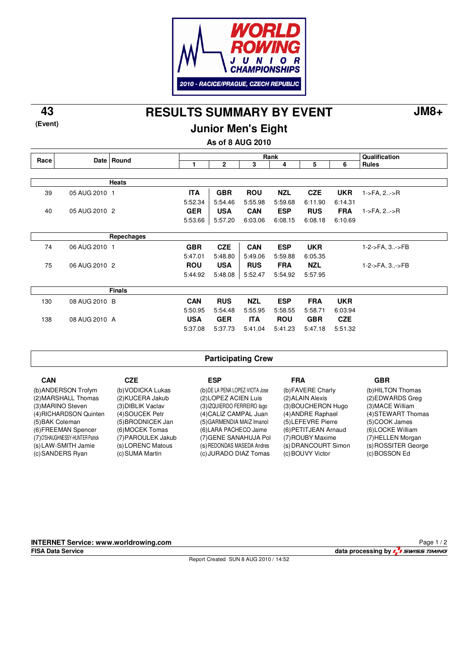

**RESULTS SUMMARY BY EVENT 43 JM8+**

**(Event)**

**Junior Men's Eight**

**As of 8 AUG 2010**

| Race |               | Date Round    | Rank       |            |            |            |            | Qualification |                |
|------|---------------|---------------|------------|------------|------------|------------|------------|---------------|----------------|
|      |               |               | 1          | 2          | 3          | 4          | 5          | 6             | <b>Rules</b>   |
|      |               |               |            |            |            |            |            |               |                |
|      |               | <b>Heats</b>  |            |            |            |            |            |               |                |
| 39   | 05 AUG 2010 1 |               | <b>ITA</b> | <b>GBR</b> | <b>ROU</b> | <b>NZL</b> | <b>CZE</b> | <b>UKR</b>    | 1->FA, 2->R    |
|      |               |               | 5:52.34    | 5:54.46    | 5:55.98    | 5:59.68    | 6:11.90    | 6:14.31       |                |
| 40   | 05 AUG 2010 2 |               | <b>GER</b> | <b>USA</b> | <b>CAN</b> | <b>ESP</b> | <b>RUS</b> | <b>FRA</b>    | 1->FA, 2->R    |
|      |               |               | 5:53.66    | 5:57.20    | 6:03.06    | 6:08.15    | 6:08.18    | 6:10.69       |                |
|      |               |               |            |            |            |            |            |               |                |
|      |               | Repechages    |            |            |            |            |            |               |                |
| 74   | 06 AUG 2010 1 |               | <b>GBR</b> | <b>CZE</b> | <b>CAN</b> | <b>ESP</b> | <b>UKR</b> |               | 1-2->FA, 3->FB |
|      |               |               | 5:47.01    | 5:48.80    | 5:49.06    | 5:59.88    | 6:05.35    |               |                |
| 75   | 06 AUG 2010 2 |               | <b>ROU</b> | <b>USA</b> | <b>RUS</b> | <b>FRA</b> | <b>NZL</b> |               | 1-2->FA, 3->FB |
|      |               |               | 5:44.92    | 5:48.08    | 5:52.47    | 5:54.92    | 5:57.95    |               |                |
|      |               |               |            |            |            |            |            |               |                |
|      |               | <b>Finals</b> |            |            |            |            |            |               |                |
| 130  | 08 AUG 2010 B |               | <b>CAN</b> | <b>RUS</b> | <b>NZL</b> | <b>ESP</b> | <b>FRA</b> | <b>UKR</b>    |                |
|      |               |               | 5:50.95    | 5:54.48    | 5:55.95    | 5:58.55    | 5:58.71    | 6:03.94       |                |
| 138  | 08 AUG 2010 A |               | <b>USA</b> | <b>GER</b> | <b>ITA</b> | <b>ROU</b> | <b>GBR</b> | <b>CZE</b>    |                |
|      |               |               | 5:37.08    | 5:37.73    | 5:41.04    | 5:41.23    | 5:47.18    | 5:51.32       |                |

### **Participating Crew**

| <b>CAN</b>                                              | CZE                                     | ESP                                                     | <b>FRA</b>                              | <b>GBR</b>                               |
|---------------------------------------------------------|-----------------------------------------|---------------------------------------------------------|-----------------------------------------|------------------------------------------|
| (b) ANDERSON Trofym<br>(2) MARSHALL Thomas              | (b) VODICKA Lukas<br>(2) KUCERA Jakub   | (b) DE LA PENA LOPEZ-VIOTA Jose<br>(2) LOPEZ ACIEN Luis | (b) FAVERE Charly<br>(2) ALAIN Alexis   | (b)HILTON Thomas<br>(2) EDWARDS Greg     |
| (3) MARINO Steven                                       | (3) DIBLIK Vaclav                       | (3) IZQUIERDO FERREIRO lago                             | (3) BOUCHERON Hugo                      | (3) MACE William                         |
| (4) RICHARDSON Quinten<br>(5) BAK Coleman               | (4) SOUCEK Petr<br>(5) BRODNICEK Jan    | (4) CALIZ CAMPAL Juan<br>(5) GARMENDIA MAIZ Imanol      | (4) ANDRE Raphael<br>(5) LEFEVRE Pierre | (4) STEWART Thomas<br>(5)COOK James      |
| (6) FREEMAN Spencer                                     | (6) MOCEK Tomas                         | (6) LARA PACHECO Jaime                                  | (6) PETITJEAN Arnaud                    | (6) LOCKE William                        |
| (7) O'SHAUGHNESSY-HUNTER Patrick<br>(s) LAW-SMITH Jamie | (7) PAROULEK Jakub<br>(s) LORENC Matous | (7) GENE SANAHUJA Pol<br>(s) REDONDAS MASEDA Andres     | (7) ROUBY Maxime<br>(s) DRANCOURT Simon | (7) HELLEN Morgan<br>(s) ROSSITER George |
| (c) SANDERS Ryan                                        | (c) SUMA Martin                         | (c) JURADO DIAZ Tomas                                   | (c) BOUVY Victor                        | (c) BOSSON Ed                            |

**INTERNET Service: www.worldrowing.com**

Report Created SUN 8 AUG 2010 / 14:52

**FISA Data Service data processing by**  $\frac{1}{2}$  **SWISS TIMING** Page 1 / 2